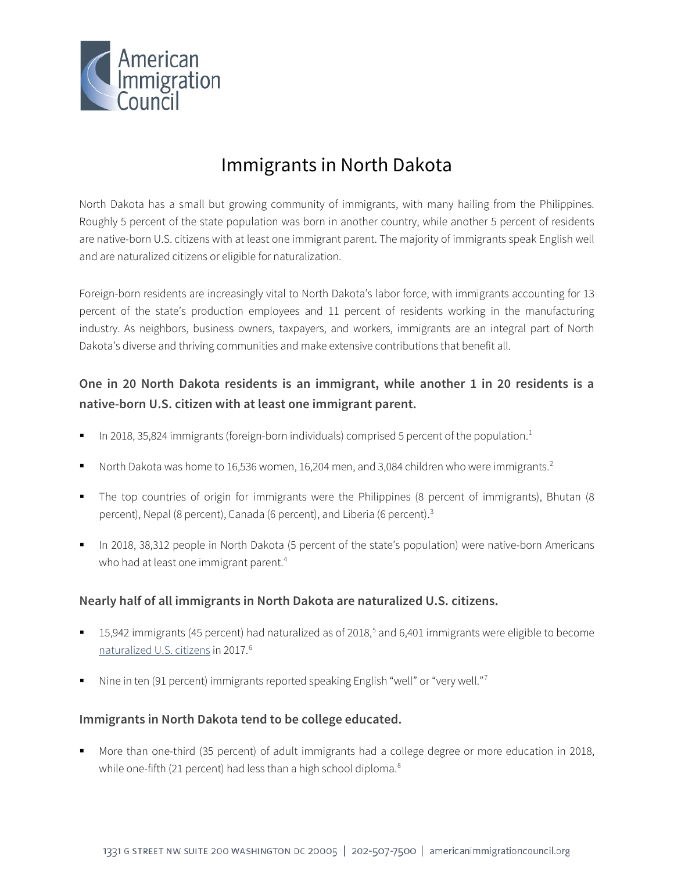

# Immigrants in North Dakota

North Dakota has a small but growing community of immigrants, with many hailing from the Philippines. Roughly 5 percent of the state population was born in another country, while another 5 percent of residents are native-born U.S. citizens with at least one immigrant parent. The majority of immigrants speak English well and are naturalized citizens or eligible for naturalization.

Foreign-born residents are increasingly vital to North Dakota's labor force, with immigrants accounting for 13 percent of the state's production employees and 11 percent of residents working in the manufacturing industry. As neighbors, business owners, taxpayers, and workers, immigrants are an integral part of North Dakota's diverse and thriving communities and make extensive contributions that benefit all.

## **One in 20 North Dakota residents is an immigrant, while another 1 in 20 residents is a native-born U.S. citizen with at least one immigrant parent.**

- In 2018, 35,824 immigrants (foreign-born individuals) comprised 5 percent of the population.<sup>1</sup>
- North Dakota was home to 16,536 women, 16,204 men, and 3,084 children who were immigrants.[2](#page-4-1)
- The top countries of origin for immigrants were the Philippines (8 percent of immigrants), Bhutan (8 percent), Nepal (8 percent), Canada (6 percent), and Liberia (6 percent).<sup>[3](#page-4-2)</sup>
- In 2018, 38,312 people in North Dakota (5 percent of the state's population) were native-born Americans who had at least one immigrant parent.<sup>[4](#page-4-3)</sup>

#### **Nearly half of all immigrants in North Dakota are naturalized U.S. citizens.**

- 1[5](#page-4-4),942 immigrants (45 percent) had naturalized as of 2018,<sup>5</sup> and 6,401 immigrants were eligible to become [naturalized U.S. citizens](http://data.cmsny.org/state.html) in 2017.<sup>[6](#page-4-5)</sup>
- Nine in ten (91 percent) immigrants reported speaking English "well" or "very well."[7](#page-4-6)

#### **Immigrants in North Dakota tend to be college educated.**

 More than one-third (35 percent) of adult immigrants had a college degree or more education in 2018, while one-fifth (21 percent) had less than a high school diploma.<sup>[8](#page-4-7)</sup>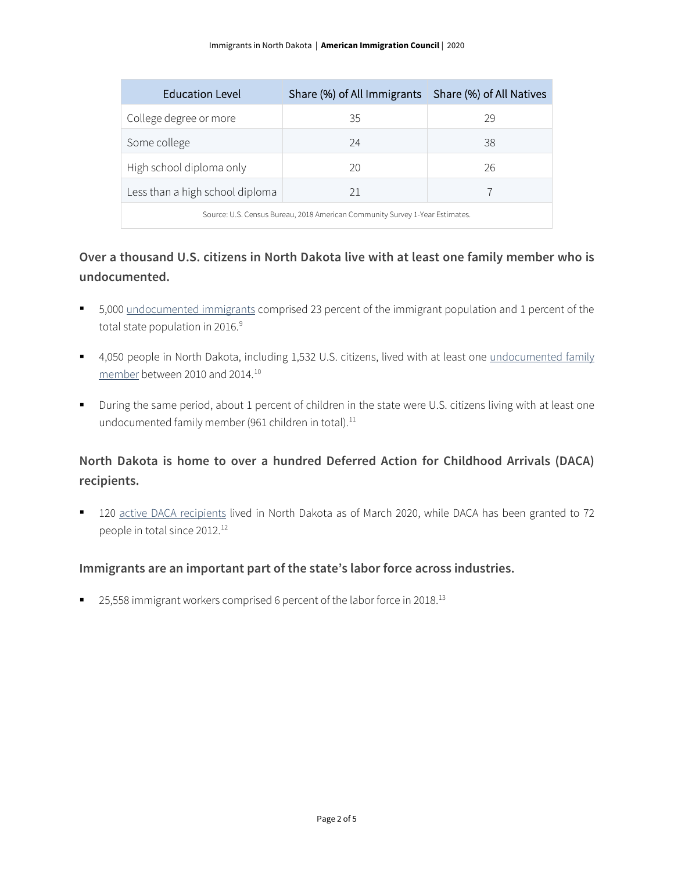| Education Level                                                              | Share (%) of All Immigrants   Share (%) of All Natives |    |  |
|------------------------------------------------------------------------------|--------------------------------------------------------|----|--|
| College degree or more                                                       | 35                                                     | 29 |  |
| Some college                                                                 | 24                                                     | 38 |  |
| High school diploma only                                                     | 20                                                     | 26 |  |
| Less than a high school diploma                                              | 21                                                     |    |  |
| Source: U.S. Census Bureau, 2018 American Community Survey 1-Year Estimates. |                                                        |    |  |

## **Over a thousand U.S. citizens in North Dakota live with at least one family member who is undocumented.**

- 5,000 [undocumented immigrants](http://www.pewhispanic.org/interactives/unauthorized-immigrants/) comprised 23 percent of the immigrant population and 1 percent of the total state population in 2016.<sup>[9](#page-4-8)</sup>
- 4,050 people in North Dakota, including 1,532 U.S. citizens, lived with at least one undocumented family [member](https://www.americanprogress.org/issues/immigration/news/2017/03/16/427868/state-state-estimates-family-members-unauthorized-immigrants/) between 2010 and 2014.[10](#page-4-9)
- During the same period, about 1 percent of children in the state were U.S. citizens living with at least one undocumented family member (961 children in total).<sup>[11](#page-4-10)</sup>

## **North Dakota is home to over a hundred Deferred Action for Childhood Arrivals (DACA) recipients.**

 120 active DACA recipients lived in North Dakota as of March 2020, while DACA has been granted to 72 people in total since 20[12](#page-4-11).<sup>12</sup>

#### **Immigrants are an important part of the state's labor force across industries.**

■ 25,558 immigrant workers comprised 6 percent of the labor force in 2018.<sup>[13](#page-4-12)</sup>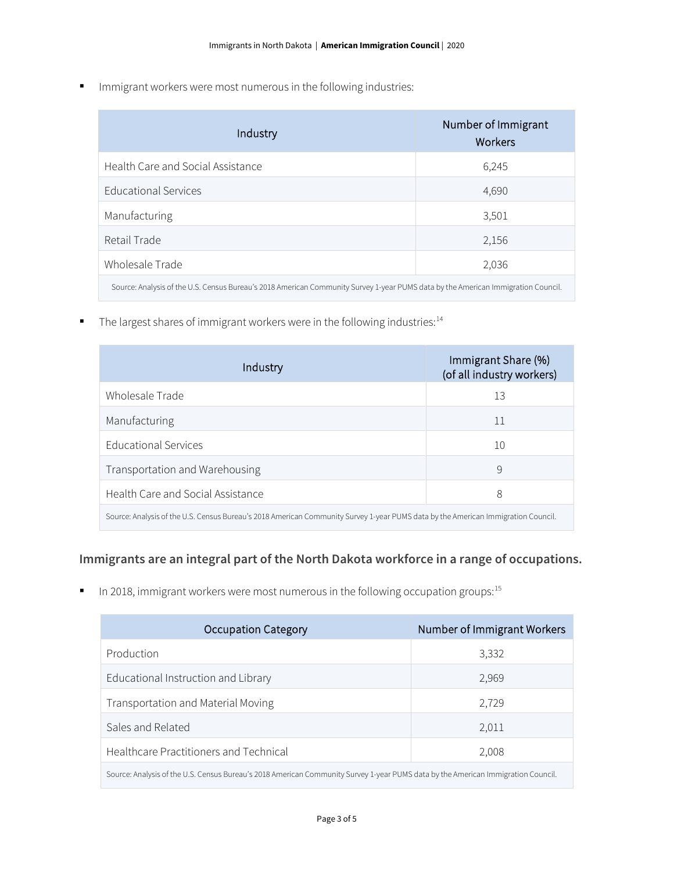**IMMI** Immigrant workers were most numerous in the following industries:

| Industry                                                                                                                          | Number of Immigrant<br>Workers |  |
|-----------------------------------------------------------------------------------------------------------------------------------|--------------------------------|--|
| Health Care and Social Assistance                                                                                                 | 6,245                          |  |
| <b>Educational Services</b>                                                                                                       | 4,690                          |  |
| Manufacturing                                                                                                                     | 3,501                          |  |
| Retail Trade                                                                                                                      | 2,156                          |  |
| Wholesale Trade                                                                                                                   | 2,036                          |  |
| Source: Analysis of the U.S. Census Bureau's 2018 American Community Survey 1-year PUMS data by the American Immigration Council. |                                |  |

 $\blacksquare$  The largest shares of immigrant workers were in the following industries:<sup>14</sup>

| Industry                                                                                                                          | Immigrant Share (%)<br>(of all industry workers) |  |
|-----------------------------------------------------------------------------------------------------------------------------------|--------------------------------------------------|--|
| Wholesale Trade                                                                                                                   | 13                                               |  |
| Manufacturing                                                                                                                     | 11                                               |  |
| <b>Educational Services</b>                                                                                                       | 10                                               |  |
| Transportation and Warehousing                                                                                                    | $\mathcal{Q}$                                    |  |
| Health Care and Social Assistance                                                                                                 | 8                                                |  |
| Source: Analysis of the U.S. Census Bureau's 2018 American Community Survey 1-year PUMS data by the American Immigration Council. |                                                  |  |

**Immigrants are an integral part of the North Dakota workforce in a range of occupations.**

In 2018, immigrant workers were most numerous in the following occupation groups:<sup>[15](#page-4-14)</sup>

| <b>Occupation Category</b>                                                                                                        | Number of Immigrant Workers |  |
|-----------------------------------------------------------------------------------------------------------------------------------|-----------------------------|--|
| Production                                                                                                                        | 3,332                       |  |
| Educational Instruction and Library                                                                                               | 2,969                       |  |
| Transportation and Material Moving                                                                                                | 2,729                       |  |
| Sales and Related                                                                                                                 | 2,011                       |  |
| Healthcare Practitioners and Technical                                                                                            | 2,008                       |  |
| Source: Analysis of the U.S. Census Bureau's 2018 American Community Survey 1-year PUMS data by the American Immigration Council. |                             |  |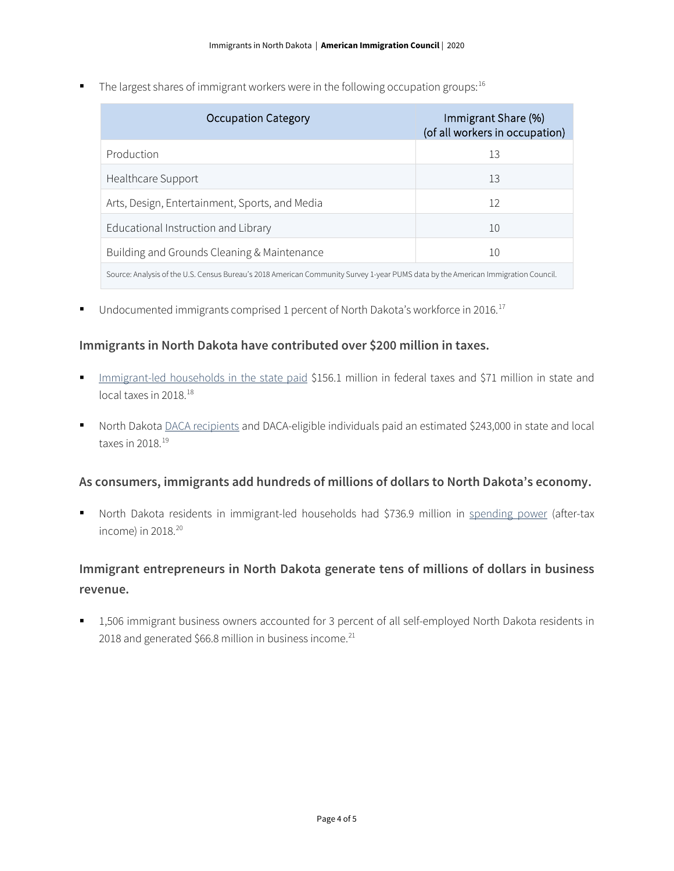The largest shares of immigrant workers were in the following occupation groups:  $16$ 

| <b>Occupation Category</b>                                                                                                        | Immigrant Share (%)<br>(of all workers in occupation) |  |
|-----------------------------------------------------------------------------------------------------------------------------------|-------------------------------------------------------|--|
| Production                                                                                                                        | 13                                                    |  |
| Healthcare Support                                                                                                                | 13                                                    |  |
| Arts, Design, Entertainment, Sports, and Media                                                                                    | 12                                                    |  |
| Educational Instruction and Library                                                                                               | 10                                                    |  |
| Building and Grounds Cleaning & Maintenance                                                                                       | 10                                                    |  |
| Source: Analysis of the U.S. Census Bureau's 2018 American Community Survey 1-year PUMS data by the American Immigration Council. |                                                       |  |

■ Undocumented immigrants comprised 1 percent of North Dakota's workforce in 2016.<sup>[17](#page-4-16)</sup>

#### **Immigrants in North Dakota have contributed over \$200 million in taxes.**

- [Immigrant-led households in the state paid](https://www.newamericaneconomy.org/locations/) \$156.1 million in federal taxes and \$71 million in state and local taxes in 20[18](#page-4-17).<sup>18</sup>
- North Dakota [DACA recipients](https://itep.org/state-local-tax-contributions-of-young-undocumented-immigrants/) and DACA-eligible individuals paid an estimated \$243,000 in state and local taxes in 2018.[19](#page-4-18)

#### **As consumers, immigrants add hundreds of millions of dollars to North Dakota's economy.**

North Dakota residents in immigrant-led households had \$736.9 million in [spending power](https://www.newamericaneconomy.org/locations/) (after-tax income) in  $2018.<sup>20</sup>$  $2018.<sup>20</sup>$ 

## **Immigrant entrepreneurs in North Dakota generate tens of millions of dollars in business revenue.**

 1,506 immigrant business owners accounted for 3 percent of all self-employed North Dakota residents in 2018 and generated \$66.8 million in business income. $^{21}$  $^{21}$  $^{21}$